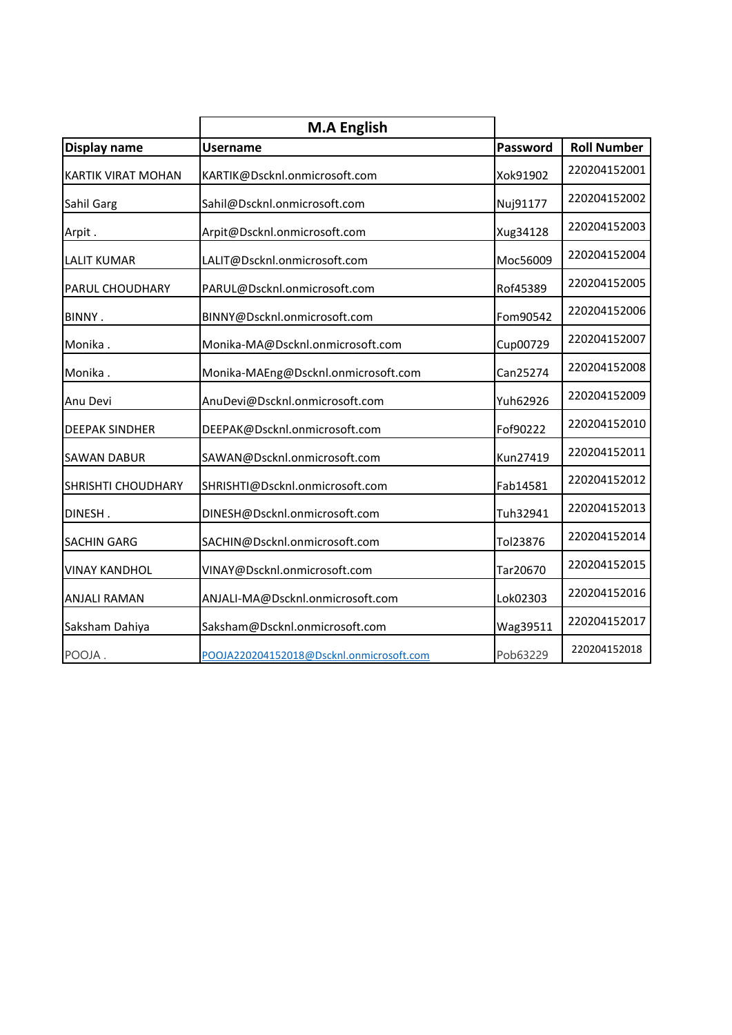|                           | <b>M.A English</b>                       |          |                    |
|---------------------------|------------------------------------------|----------|--------------------|
| Display name              | <b>Username</b>                          | Password | <b>Roll Number</b> |
| <b>KARTIK VIRAT MOHAN</b> | KARTIK@Dscknl.onmicrosoft.com            | Xok91902 | 220204152001       |
| Sahil Garg                | Sahil@Dscknl.onmicrosoft.com             | Nuj91177 | 220204152002       |
| Arpit.                    | Arpit@Dscknl.onmicrosoft.com             | Xug34128 | 220204152003       |
| <b>LALIT KUMAR</b>        | LALIT@Dscknl.onmicrosoft.com             | Moc56009 | 220204152004       |
| PARUL CHOUDHARY           | PARUL@Dscknl.onmicrosoft.com             | Rof45389 | 220204152005       |
| BINNY.                    | BINNY@Dscknl.onmicrosoft.com             | Fom90542 | 220204152006       |
| Monika.                   | Monika-MA@Dscknl.onmicrosoft.com         | Cup00729 | 220204152007       |
| Monika.                   | Monika-MAEng@Dscknl.onmicrosoft.com      | Can25274 | 220204152008       |
| Anu Devi                  | AnuDevi@Dscknl.onmicrosoft.com           | Yuh62926 | 220204152009       |
| <b>DEEPAK SINDHER</b>     | DEEPAK@Dscknl.onmicrosoft.com            | Fof90222 | 220204152010       |
| <b>SAWAN DABUR</b>        | SAWAN@Dscknl.onmicrosoft.com             | Kun27419 | 220204152011       |
| <b>SHRISHTI CHOUDHARY</b> | SHRISHTI@Dscknl.onmicrosoft.com          | Fab14581 | 220204152012       |
| DINESH.                   | DINESH@Dscknl.onmicrosoft.com            | Tuh32941 | 220204152013       |
| <b>SACHIN GARG</b>        | SACHIN@Dscknl.onmicrosoft.com            | Tol23876 | 220204152014       |
| <b>VINAY KANDHOL</b>      | VINAY@Dscknl.onmicrosoft.com             | Tar20670 | 220204152015       |
| <b>ANJALI RAMAN</b>       | ANJALI-MA@Dscknl.onmicrosoft.com         | Lok02303 | 220204152016       |
| Saksham Dahiya            | Saksham@Dscknl.onmicrosoft.com           | Wag39511 | 220204152017       |
| POOJA.                    | POOJA220204152018@Dscknl.onmicrosoft.com | Pob63229 | 220204152018       |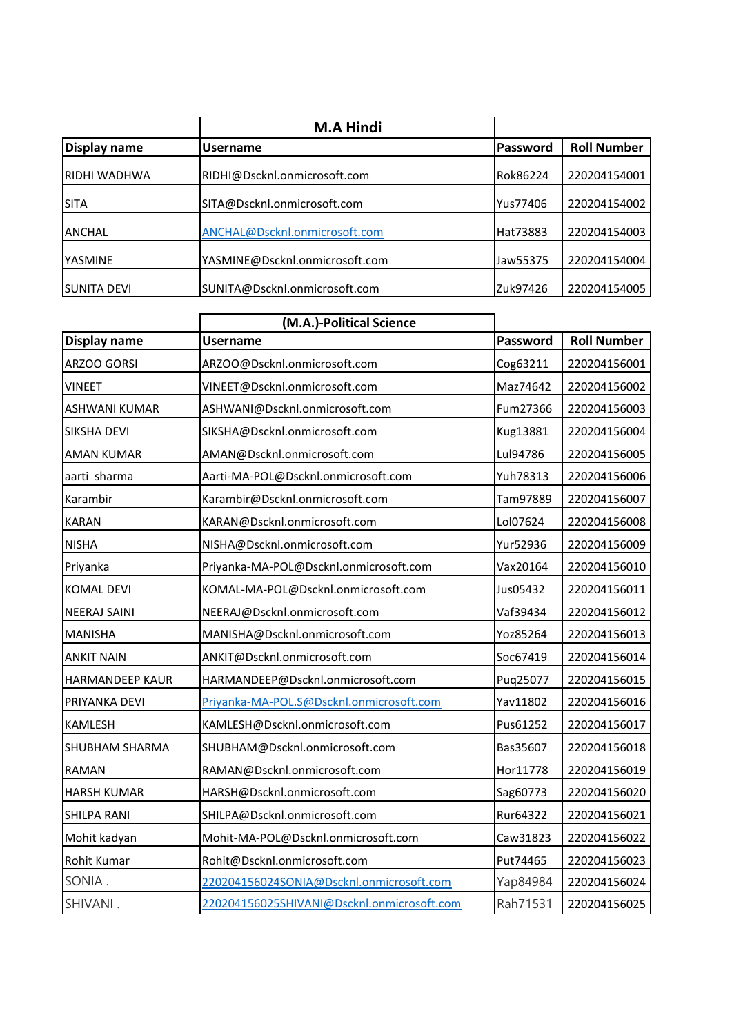|                      | <b>M.A Hindi</b>               |          |                    |
|----------------------|--------------------------------|----------|--------------------|
| <b>Display name</b>  | <b>Username</b>                | Password | <b>Roll Number</b> |
| <b>IRIDHI WADHWA</b> | RIDHI@Dscknl.onmicrosoft.com   | Rok86224 | 220204154001       |
| <b>ISITA</b>         | SITA@Dscknl.onmicrosoft.com    | Yus77406 | 220204154002       |
| <b>ANCHAL</b>        | ANCHAL@Dscknl.onmicrosoft.com  | Hat73883 | 220204154003       |
| YASMINE              | YASMINE@Dscknl.onmicrosoft.com | Jaw55375 | 220204154004       |
| <b>ISUNITA DEVI</b>  | SUNITA@Dscknl.onmicrosoft.com  | Zuk97426 | 220204154005       |

|                        | (M.A.)-Political Science                   |          |                    |
|------------------------|--------------------------------------------|----------|--------------------|
| Display name           | <b>Username</b>                            | Password | <b>Roll Number</b> |
| ARZOO GORSI            | ARZOO@Dscknl.onmicrosoft.com               | Cog63211 | 220204156001       |
| <b>VINEET</b>          | VINEET@Dscknl.onmicrosoft.com              | Maz74642 | 220204156002       |
| <b>ASHWANI KUMAR</b>   | ASHWANI@Dscknl.onmicrosoft.com             | Fum27366 | 220204156003       |
| <b>SIKSHA DEVI</b>     | SIKSHA@Dscknl.onmicrosoft.com              | Kug13881 | 220204156004       |
| <b>AMAN KUMAR</b>      | AMAN@Dscknl.onmicrosoft.com                | Lul94786 | 220204156005       |
| aarti sharma           | Aarti-MA-POL@Dscknl.onmicrosoft.com        | Yuh78313 | 220204156006       |
| Karambir               | Karambir@Dscknl.onmicrosoft.com            | Tam97889 | 220204156007       |
| <b>KARAN</b>           | KARAN@Dscknl.onmicrosoft.com               | Lol07624 | 220204156008       |
| <b>NISHA</b>           | NISHA@Dscknl.onmicrosoft.com               | Yur52936 | 220204156009       |
| Priyanka               | Priyanka-MA-POL@Dscknl.onmicrosoft.com     | Vax20164 | 220204156010       |
| <b>KOMAL DEVI</b>      | KOMAL-MA-POL@Dscknl.onmicrosoft.com        | Jus05432 | 220204156011       |
| <b>NEERAJ SAINI</b>    | NEERAJ@Dscknl.onmicrosoft.com              | Vaf39434 | 220204156012       |
| <b>MANISHA</b>         | MANISHA@Dscknl.onmicrosoft.com             | Yoz85264 | 220204156013       |
| <b>ANKIT NAIN</b>      | ANKIT@Dscknl.onmicrosoft.com               | Soc67419 | 220204156014       |
| <b>HARMANDEEP KAUR</b> | HARMANDEEP@Dscknl.onmicrosoft.com          | Puq25077 | 220204156015       |
| PRIYANKA DEVI          | Priyanka-MA-POL.S@Dscknl.onmicrosoft.com   | Yav11802 | 220204156016       |
| KAMLESH                | KAMLESH@Dscknl.onmicrosoft.com             | Pus61252 | 220204156017       |
| SHUBHAM SHARMA         | SHUBHAM@Dscknl.onmicrosoft.com             | Bas35607 | 220204156018       |
| <b>RAMAN</b>           | RAMAN@Dscknl.onmicrosoft.com               | Hor11778 | 220204156019       |
| <b>HARSH KUMAR</b>     | HARSH@Dscknl.onmicrosoft.com               | Sag60773 | 220204156020       |
| SHILPA RANI            | SHILPA@Dscknl.onmicrosoft.com              | Rur64322 | 220204156021       |
| Mohit kadyan           | Mohit-MA-POL@Dscknl.onmicrosoft.com        | Caw31823 | 220204156022       |
| Rohit Kumar            | Rohit@Dscknl.onmicrosoft.com               | Put74465 | 220204156023       |
| SONIA.                 | 220204156024SONIA@Dscknl.onmicrosoft.com   | Yap84984 | 220204156024       |
| SHIVANI.               | 220204156025SHIVANI@Dscknl.onmicrosoft.com | Rah71531 | 220204156025       |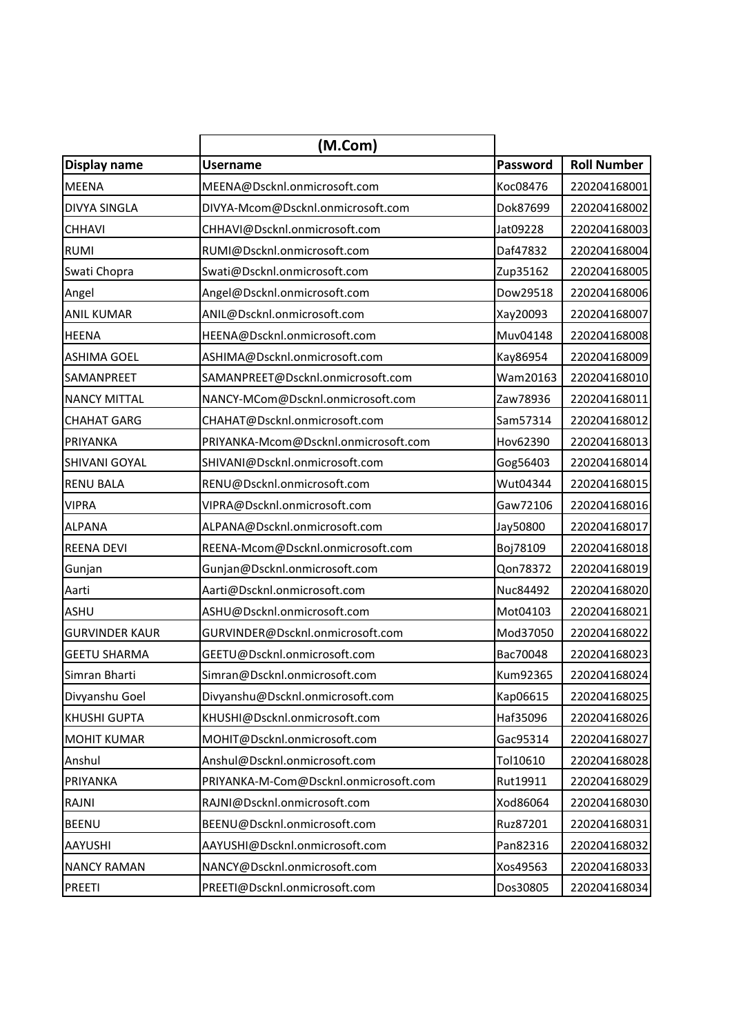|                       | (M.Com)                               |          |                    |
|-----------------------|---------------------------------------|----------|--------------------|
| Display name          | <b>Username</b>                       | Password | <b>Roll Number</b> |
| <b>MEENA</b>          | MEENA@Dscknl.onmicrosoft.com          | Koc08476 | 220204168001       |
| <b>DIVYA SINGLA</b>   | DIVYA-Mcom@Dscknl.onmicrosoft.com     | Dok87699 | 220204168002       |
| <b>CHHAVI</b>         | CHHAVI@Dscknl.onmicrosoft.com         | Jat09228 | 220204168003       |
| <b>RUMI</b>           | RUMI@Dscknl.onmicrosoft.com           | Daf47832 | 220204168004       |
| Swati Chopra          | Swati@Dscknl.onmicrosoft.com          | Zup35162 | 220204168005       |
| Angel                 | Angel@Dscknl.onmicrosoft.com          | Dow29518 | 220204168006       |
| <b>ANIL KUMAR</b>     | ANIL@Dscknl.onmicrosoft.com           | Xay20093 | 220204168007       |
| <b>HEENA</b>          | HEENA@Dscknl.onmicrosoft.com          | Muv04148 | 220204168008       |
| <b>ASHIMA GOEL</b>    | ASHIMA@Dscknl.onmicrosoft.com         | Kay86954 | 220204168009       |
| <b>SAMANPREET</b>     | SAMANPREET@Dscknl.onmicrosoft.com     | Wam20163 | 220204168010       |
| <b>NANCY MITTAL</b>   | NANCY-MCom@Dscknl.onmicrosoft.com     | Zaw78936 | 220204168011       |
| <b>CHAHAT GARG</b>    | CHAHAT@Dscknl.onmicrosoft.com         | Sam57314 | 220204168012       |
| <b>PRIYANKA</b>       | PRIYANKA-Mcom@Dscknl.onmicrosoft.com  | Hov62390 | 220204168013       |
| <b>SHIVANI GOYAL</b>  | SHIVANI@Dscknl.onmicrosoft.com        | Gog56403 | 220204168014       |
| <b>RENU BALA</b>      | RENU@Dscknl.onmicrosoft.com           | Wut04344 | 220204168015       |
| <b>VIPRA</b>          | VIPRA@Dscknl.onmicrosoft.com          | Gaw72106 | 220204168016       |
| <b>ALPANA</b>         | ALPANA@Dscknl.onmicrosoft.com         | Jay50800 | 220204168017       |
| <b>REENA DEVI</b>     | REENA-Mcom@Dscknl.onmicrosoft.com     | Boj78109 | 220204168018       |
| Gunjan                | Gunjan@Dscknl.onmicrosoft.com         | Qon78372 | 220204168019       |
| Aarti                 | Aarti@Dscknl.onmicrosoft.com          | Nuc84492 | 220204168020       |
| <b>ASHU</b>           | ASHU@Dscknl.onmicrosoft.com           | Mot04103 | 220204168021       |
| <b>GURVINDER KAUR</b> | GURVINDER@Dscknl.onmicrosoft.com      | Mod37050 | 220204168022       |
| <b>GEETU SHARMA</b>   | GEETU@Dscknl.onmicrosoft.com          | Bac70048 | 220204168023       |
| Simran Bharti         | Simran@Dscknl.onmicrosoft.com         | Kum92365 | 220204168024       |
| Divyanshu Goel        | Divyanshu@Dscknl.onmicrosoft.com      | Kap06615 | 220204168025       |
| <b>KHUSHI GUPTA</b>   | KHUSHI@Dscknl.onmicrosoft.com         | Haf35096 | 220204168026       |
| <b>MOHIT KUMAR</b>    | MOHIT@Dscknl.onmicrosoft.com          | Gac95314 | 220204168027       |
| Anshul                | Anshul@Dscknl.onmicrosoft.com         | Tol10610 | 220204168028       |
| PRIYANKA              | PRIYANKA-M-Com@Dscknl.onmicrosoft.com | Rut19911 | 220204168029       |
| RAJNI                 | RAJNI@Dscknl.onmicrosoft.com          | Xod86064 | 220204168030       |
| <b>BEENU</b>          | BEENU@Dscknl.onmicrosoft.com          | Ruz87201 | 220204168031       |
| AAYUSHI               | AAYUSHI@Dscknl.onmicrosoft.com        | Pan82316 | 220204168032       |
| <b>NANCY RAMAN</b>    | NANCY@Dscknl.onmicrosoft.com          | Xos49563 | 220204168033       |
| <b>PREETI</b>         | PREETI@Dscknl.onmicrosoft.com         | Dos30805 | 220204168034       |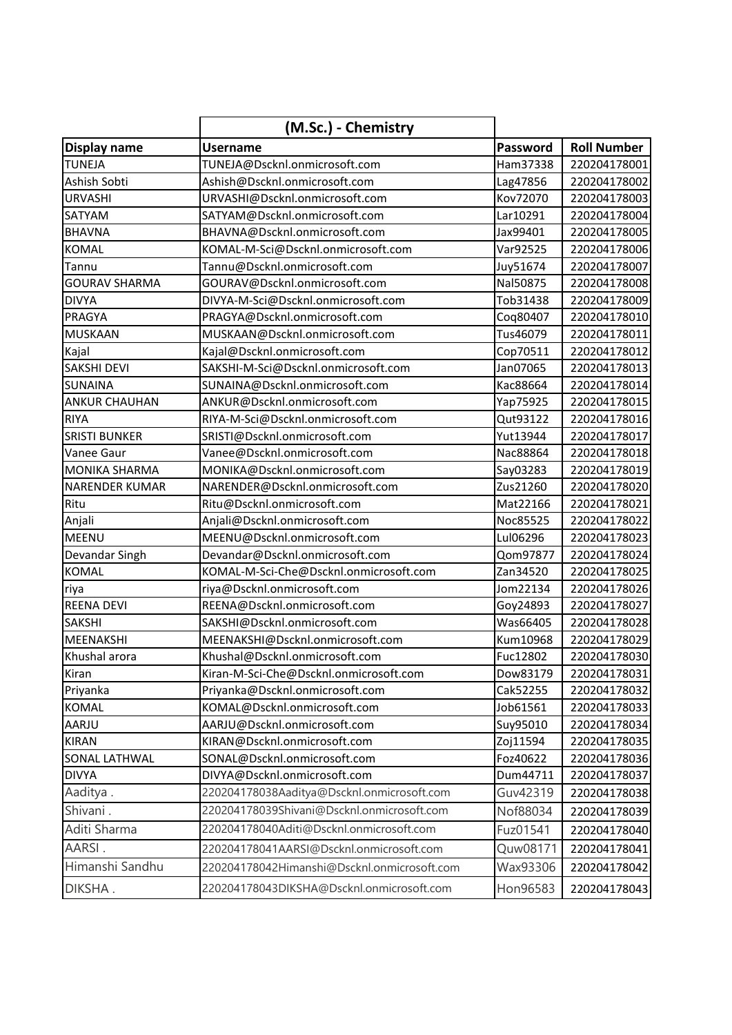|                       | (M.Sc.) - Chemistry                         |          |                    |
|-----------------------|---------------------------------------------|----------|--------------------|
| Display name          | <b>Username</b>                             | Password | <b>Roll Number</b> |
| <b>TUNEJA</b>         | TUNEJA@Dscknl.onmicrosoft.com               | Ham37338 | 220204178001       |
| Ashish Sobti          | Ashish@Dscknl.onmicrosoft.com               | Lag47856 | 220204178002       |
| <b>URVASHI</b>        | URVASHI@Dscknl.onmicrosoft.com              | Kov72070 | 220204178003       |
| SATYAM                | SATYAM@Dscknl.onmicrosoft.com               | Lar10291 | 220204178004       |
| <b>BHAVNA</b>         | BHAVNA@Dscknl.onmicrosoft.com               | Jax99401 | 220204178005       |
| <b>KOMAL</b>          | KOMAL-M-Sci@Dscknl.onmicrosoft.com          | Var92525 | 220204178006       |
| Tannu                 | Tannu@Dscknl.onmicrosoft.com                | Juy51674 | 220204178007       |
| <b>GOURAV SHARMA</b>  | GOURAV@Dscknl.onmicrosoft.com               | Nal50875 | 220204178008       |
| <b>DIVYA</b>          | DIVYA-M-Sci@Dscknl.onmicrosoft.com          | Tob31438 | 220204178009       |
| PRAGYA                | PRAGYA@Dscknl.onmicrosoft.com               | Coq80407 | 220204178010       |
| <b>MUSKAAN</b>        | MUSKAAN@Dscknl.onmicrosoft.com              | Tus46079 | 220204178011       |
| Kajal                 | Kajal@Dscknl.onmicrosoft.com                | Cop70511 | 220204178012       |
| <b>SAKSHI DEVI</b>    | SAKSHI-M-Sci@Dscknl.onmicrosoft.com         | Jan07065 | 220204178013       |
| <b>SUNAINA</b>        | SUNAINA@Dscknl.onmicrosoft.com              | Kac88664 | 220204178014       |
| <b>ANKUR CHAUHAN</b>  | ANKUR@Dscknl.onmicrosoft.com                | Yap75925 | 220204178015       |
| <b>RIYA</b>           | RIYA-M-Sci@Dscknl.onmicrosoft.com           | Qut93122 | 220204178016       |
| <b>SRISTI BUNKER</b>  | SRISTI@Dscknl.onmicrosoft.com               | Yut13944 | 220204178017       |
| Vanee Gaur            | Vanee@Dscknl.onmicrosoft.com                | Nac88864 | 220204178018       |
| <b>MONIKA SHARMA</b>  | MONIKA@Dscknl.onmicrosoft.com               | Say03283 | 220204178019       |
| <b>NARENDER KUMAR</b> | NARENDER@Dscknl.onmicrosoft.com             | Zus21260 | 220204178020       |
| Ritu                  | Ritu@Dscknl.onmicrosoft.com                 | Mat22166 | 220204178021       |
| Anjali                | Anjali@Dscknl.onmicrosoft.com               | Noc85525 | 220204178022       |
| MEENU                 | MEENU@Dscknl.onmicrosoft.com                | Lul06296 | 220204178023       |
| Devandar Singh        | Devandar@Dscknl.onmicrosoft.com             | Qom97877 | 220204178024       |
| <b>KOMAL</b>          | KOMAL-M-Sci-Che@Dscknl.onmicrosoft.com      | Zan34520 | 220204178025       |
| riya                  | riya@Dscknl.onmicrosoft.com                 | Jom22134 | 220204178026       |
| <b>REENA DEVI</b>     | REENA@Dscknl.onmicrosoft.com                | Goy24893 | 220204178027       |
| <b>SAKSHI</b>         | SAKSHI@Dscknl.onmicrosoft.com               | Was66405 | 220204178028       |
| <b>MEENAKSHI</b>      | MEENAKSHI@Dscknl.onmicrosoft.com            | Kum10968 | 220204178029       |
| Khushal arora         | Khushal@Dscknl.onmicrosoft.com              | Fuc12802 | 220204178030       |
| Kiran                 | Kiran-M-Sci-Che@Dscknl.onmicrosoft.com      | Dow83179 | 220204178031       |
| Priyanka              | Priyanka@Dscknl.onmicrosoft.com             | Cak52255 | 220204178032       |
| <b>KOMAL</b>          | KOMAL@Dscknl.onmicrosoft.com                | Job61561 | 220204178033       |
| AARJU                 | AARJU@Dscknl.onmicrosoft.com                | Suy95010 | 220204178034       |
| <b>KIRAN</b>          | KIRAN@Dscknl.onmicrosoft.com                | Zoj11594 | 220204178035       |
| <b>SONAL LATHWAL</b>  | SONAL@Dscknl.onmicrosoft.com                | Foz40622 | 220204178036       |
| <b>DIVYA</b>          | DIVYA@Dscknl.onmicrosoft.com                | Dum44711 | 220204178037       |
| Aaditya.              | 220204178038Aaditya@Dscknl.onmicrosoft.com  | Guv42319 | 220204178038       |
| Shivani.              | 220204178039Shivani@Dscknl.onmicrosoft.com  | Nof88034 | 220204178039       |
| Aditi Sharma          | 220204178040Aditi@Dscknl.onmicrosoft.com    | Fuz01541 | 220204178040       |
| AARSI.                | 220204178041AARSI@Dscknl.onmicrosoft.com    | Quw08171 | 220204178041       |
| Himanshi Sandhu       | 220204178042Himanshi@Dscknl.onmicrosoft.com | Wax93306 | 220204178042       |
| DIKSHA.               | 220204178043DIKSHA@Dscknl.onmicrosoft.com   | Hon96583 | 220204178043       |